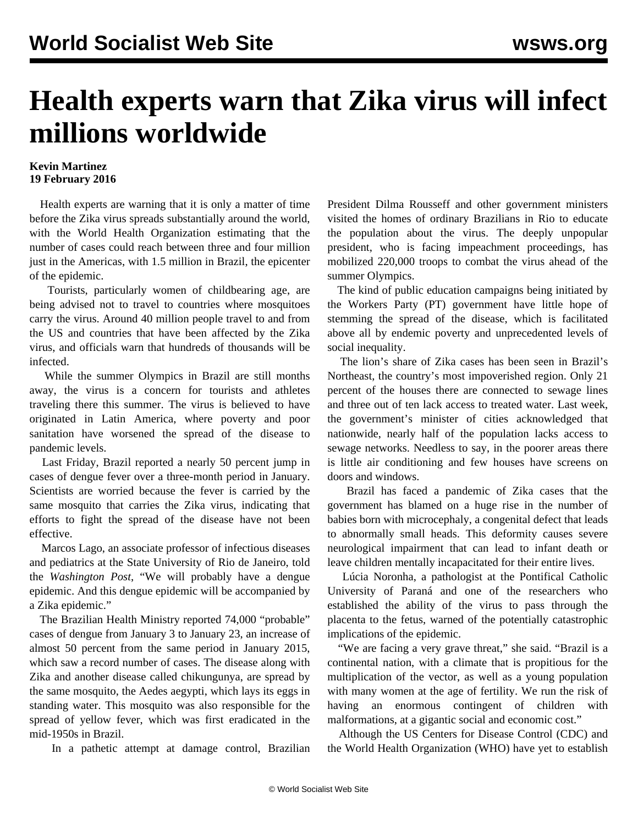## **Health experts warn that Zika virus will infect millions worldwide**

## **Kevin Martinez 19 February 2016**

 Health experts are warning that it is only a matter of time before the Zika virus spreads substantially around the world, with the World Health Organization estimating that the number of cases could reach between three and four million just in the Americas, with 1.5 million in Brazil, the epicenter of the epidemic.

 Tourists, particularly women of childbearing age, are being advised not to travel to countries where mosquitoes carry the virus. Around 40 million people travel to and from the US and countries that have been affected by the Zika virus, and officials warn that hundreds of thousands will be infected.

 While the summer Olympics in Brazil are still months away, the virus is a concern for tourists and athletes traveling there this summer. The virus is believed to have originated in Latin America, where poverty and poor sanitation have worsened the spread of the disease to pandemic levels.

 Last Friday, Brazil reported a nearly 50 percent jump in cases of dengue fever over a three-month period in January. Scientists are worried because the fever is carried by the same mosquito that carries the Zika virus, indicating that efforts to fight the spread of the disease have not been effective.

 Marcos Lago, an associate professor of infectious diseases and pediatrics at the State University of Rio de Janeiro, told the *Washington Post*, "We will probably have a dengue epidemic. And this dengue epidemic will be accompanied by a Zika epidemic."

 The Brazilian Health Ministry reported 74,000 "probable" cases of dengue from January 3 to January 23, an increase of almost 50 percent from the same period in January 2015, which saw a record number of cases. The disease along with Zika and another disease called chikungunya, are spread by the same mosquito, the Aedes aegypti, which lays its eggs in standing water. This mosquito was also responsible for the spread of yellow fever, which was first eradicated in the mid-1950s in Brazil.

In a pathetic attempt at damage control, Brazilian

President Dilma Rousseff and other government ministers visited the homes of ordinary Brazilians in Rio to educate the population about the virus. The deeply unpopular president, who is facing impeachment proceedings, has mobilized 220,000 troops to combat the virus ahead of the summer Olympics.

 The kind of public education campaigns being initiated by the Workers Party (PT) government have little hope of stemming the spread of the disease, which is facilitated above all by endemic poverty and unprecedented levels of social inequality.

 The lion's share of Zika cases has been seen in Brazil's Northeast, the country's most impoverished region. Only 21 percent of the houses there are connected to sewage lines and three out of ten lack access to treated water. Last week, the government's minister of cities acknowledged that nationwide, nearly half of the population lacks access to sewage networks. Needless to say, in the poorer areas there is little air conditioning and few houses have screens on doors and windows.

 Brazil has faced a pandemic of Zika cases that the government has blamed on a huge rise in the number of babies born with microcephaly, a congenital defect that leads to abnormally small heads. This deformity causes severe neurological impairment that can lead to infant death or leave children mentally incapacitated for their entire lives.

 Lúcia Noronha, a pathologist at the Pontifical Catholic University of Paraná and one of the researchers who established the ability of the virus to pass through the placenta to the fetus, warned of the potentially catastrophic implications of the epidemic.

 "We are facing a very grave threat," she said. "Brazil is a continental nation, with a climate that is propitious for the multiplication of the vector, as well as a young population with many women at the age of fertility. We run the risk of having an enormous contingent of children with malformations, at a gigantic social and economic cost."

 Although the US Centers for Disease Control (CDC) and the World Health Organization (WHO) have yet to establish